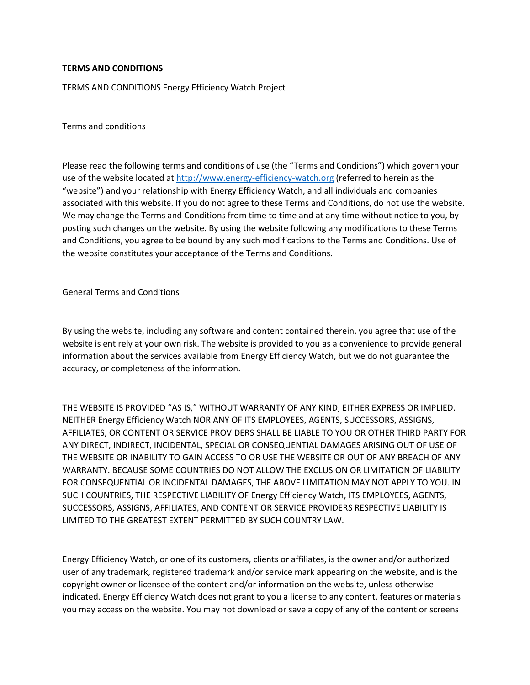# **TERMS AND CONDITIONS**

TERMS AND CONDITIONS Energy Efficiency Watch Project

Terms and conditions

Please read the following terms and conditions of use (the "Terms and Conditions") which govern your use of the website located at [http://www.energy-efficiency-watch.org](http://www.energy-efficiency-watch.org/) (referred to herein as the "website") and your relationship with Energy Efficiency Watch, and all individuals and companies associated with this website. If you do not agree to these Terms and Conditions, do not use the website. We may change the Terms and Conditions from time to time and at any time without notice to you, by posting such changes on the website. By using the website following any modifications to these Terms and Conditions, you agree to be bound by any such modifications to the Terms and Conditions. Use of the website constitutes your acceptance of the Terms and Conditions.

General Terms and Conditions

By using the website, including any software and content contained therein, you agree that use of the website is entirely at your own risk. The website is provided to you as a convenience to provide general information about the services available from Energy Efficiency Watch, but we do not guarantee the accuracy, or completeness of the information.

THE WEBSITE IS PROVIDED "AS IS," WITHOUT WARRANTY OF ANY KIND, EITHER EXPRESS OR IMPLIED. NEITHER Energy Efficiency Watch NOR ANY OF ITS EMPLOYEES, AGENTS, SUCCESSORS, ASSIGNS, AFFILIATES, OR CONTENT OR SERVICE PROVIDERS SHALL BE LIABLE TO YOU OR OTHER THIRD PARTY FOR ANY DIRECT, INDIRECT, INCIDENTAL, SPECIAL OR CONSEQUENTIAL DAMAGES ARISING OUT OF USE OF THE WEBSITE OR INABILITY TO GAIN ACCESS TO OR USE THE WEBSITE OR OUT OF ANY BREACH OF ANY WARRANTY. BECAUSE SOME COUNTRIES DO NOT ALLOW THE EXCLUSION OR LIMITATION OF LIABILITY FOR CONSEQUENTIAL OR INCIDENTAL DAMAGES, THE ABOVE LIMITATION MAY NOT APPLY TO YOU. IN SUCH COUNTRIES, THE RESPECTIVE LIABILITY OF Energy Efficiency Watch, ITS EMPLOYEES, AGENTS, SUCCESSORS, ASSIGNS, AFFILIATES, AND CONTENT OR SERVICE PROVIDERS RESPECTIVE LIABILITY IS LIMITED TO THE GREATEST EXTENT PERMITTED BY SUCH COUNTRY LAW.

Energy Efficiency Watch, or one of its customers, clients or affiliates, is the owner and/or authorized user of any trademark, registered trademark and/or service mark appearing on the website, and is the copyright owner or licensee of the content and/or information on the website, unless otherwise indicated. Energy Efficiency Watch does not grant to you a license to any content, features or materials you may access on the website. You may not download or save a copy of any of the content or screens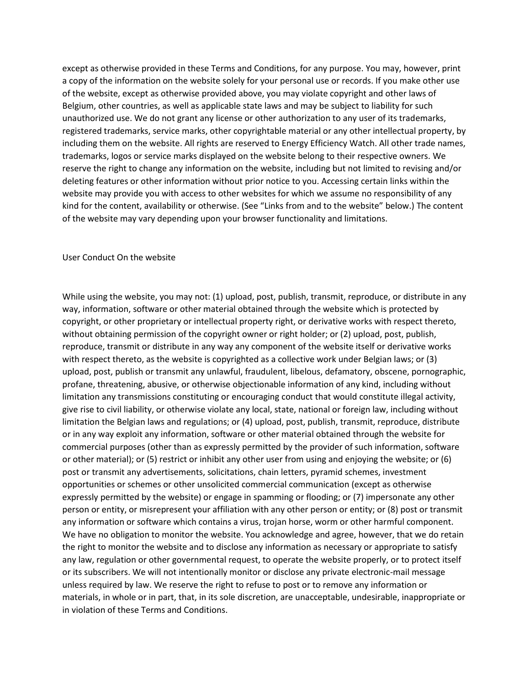except as otherwise provided in these Terms and Conditions, for any purpose. You may, however, print a copy of the information on the website solely for your personal use or records. If you make other use of the website, except as otherwise provided above, you may violate copyright and other laws of Belgium, other countries, as well as applicable state laws and may be subject to liability for such unauthorized use. We do not grant any license or other authorization to any user of its trademarks, registered trademarks, service marks, other copyrightable material or any other intellectual property, by including them on the website. All rights are reserved to Energy Efficiency Watch. All other trade names, trademarks, logos or service marks displayed on the website belong to their respective owners. We reserve the right to change any information on the website, including but not limited to revising and/or deleting features or other information without prior notice to you. Accessing certain links within the website may provide you with access to other websites for which we assume no responsibility of any kind for the content, availability or otherwise. (See "Links from and to the website" below.) The content of the website may vary depending upon your browser functionality and limitations.

### User Conduct On the website

While using the website, you may not: (1) upload, post, publish, transmit, reproduce, or distribute in any way, information, software or other material obtained through the website which is protected by copyright, or other proprietary or intellectual property right, or derivative works with respect thereto, without obtaining permission of the copyright owner or right holder; or (2) upload, post, publish, reproduce, transmit or distribute in any way any component of the website itself or derivative works with respect thereto, as the website is copyrighted as a collective work under Belgian laws; or (3) upload, post, publish or transmit any unlawful, fraudulent, libelous, defamatory, obscene, pornographic, profane, threatening, abusive, or otherwise objectionable information of any kind, including without limitation any transmissions constituting or encouraging conduct that would constitute illegal activity, give rise to civil liability, or otherwise violate any local, state, national or foreign law, including without limitation the Belgian laws and regulations; or (4) upload, post, publish, transmit, reproduce, distribute or in any way exploit any information, software or other material obtained through the website for commercial purposes (other than as expressly permitted by the provider of such information, software or other material); or (5) restrict or inhibit any other user from using and enjoying the website; or (6) post or transmit any advertisements, solicitations, chain letters, pyramid schemes, investment opportunities or schemes or other unsolicited commercial communication (except as otherwise expressly permitted by the website) or engage in spamming or flooding; or (7) impersonate any other person or entity, or misrepresent your affiliation with any other person or entity; or (8) post or transmit any information or software which contains a virus, trojan horse, worm or other harmful component. We have no obligation to monitor the website. You acknowledge and agree, however, that we do retain the right to monitor the website and to disclose any information as necessary or appropriate to satisfy any law, regulation or other governmental request, to operate the website properly, or to protect itself or its subscribers. We will not intentionally monitor or disclose any private electronic-mail message unless required by law. We reserve the right to refuse to post or to remove any information or materials, in whole or in part, that, in its sole discretion, are unacceptable, undesirable, inappropriate or in violation of these Terms and Conditions.